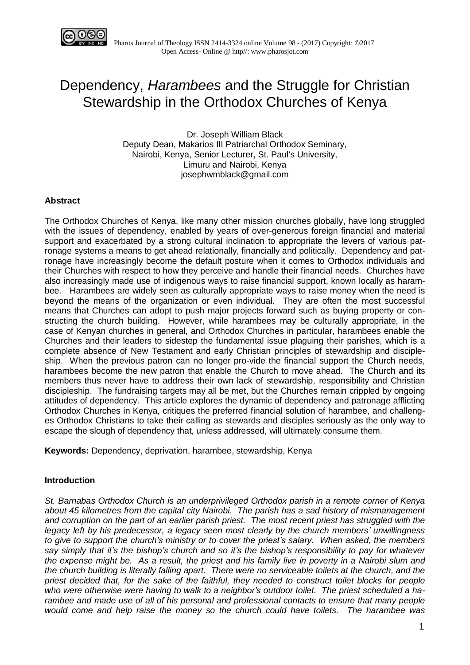

# Dependency, *Harambees* and the Struggle for Christian Stewardship in the Orthodox Churches of Kenya

Dr. Joseph William Black Deputy Dean, Makarios III Patriarchal Orthodox Seminary, Nairobi, Kenya, Senior Lecturer, St. Paul's University, Limuru and Nairobi, Kenya josephwmblack@gmail.com

# **Abstract**

The Orthodox Churches of Kenya, like many other mission churches globally, have long struggled with the issues of dependency, enabled by years of over-generous foreign financial and material support and exacerbated by a strong cultural inclination to appropriate the levers of various patronage systems a means to get ahead relationally, financially and politically. Dependency and patronage have increasingly become the default posture when it comes to Orthodox individuals and their Churches with respect to how they perceive and handle their financial needs. Churches have also increasingly made use of indigenous ways to raise financial support, known locally as harambee. Harambees are widely seen as culturally appropriate ways to raise money when the need is beyond the means of the organization or even individual. They are often the most successful means that Churches can adopt to push major projects forward such as buying property or constructing the church building. However, while harambees may be culturally appropriate, in the case of Kenyan churches in general, and Orthodox Churches in particular, harambees enable the Churches and their leaders to sidestep the fundamental issue plaguing their parishes, which is a complete absence of New Testament and early Christian principles of stewardship and discipleship. When the previous patron can no longer pro-vide the financial support the Church needs, harambees become the new patron that enable the Church to move ahead. The Church and its members thus never have to address their own lack of stewardship, responsibility and Christian discipleship. The fundraising targets may all be met, but the Churches remain crippled by ongoing attitudes of dependency. This article explores the dynamic of dependency and patronage afflicting Orthodox Churches in Kenya, critiques the preferred financial solution of harambee, and challenges Orthodox Christians to take their calling as stewards and disciples seriously as the only way to escape the slough of dependency that, unless addressed, will ultimately consume them.

**Keywords:** Dependency, deprivation, harambee, stewardship, Kenya

## **Introduction**

*St. Barnabas Orthodox Church is an underprivileged Orthodox parish in a remote corner of Kenya about 45 kilometres from the capital city Nairobi. The parish has a sad history of mismanagement and corruption on the part of an earlier parish priest. The most recent priest has struggled with the legacy left by his predecessor, a legacy seen most clearly by the church members' unwillingness to give to support the church's ministry or to cover the priest's salary. When asked, the members say simply that it's the bishop's church and so it's the bishop's responsibility to pay for whatever* the expense might be. As a result, the priest and his family live in poverty in a Nairobi slum and *the church building is literally falling apart. There were no serviceable toilets at the church, and the priest decided that, for the sake of the faithful, they needed to construct toilet blocks for people who were otherwise were having to walk to a neighbor's outdoor toilet. The priest scheduled a harambee and made use of all of his personal and professional contacts to ensure that many people would come and help raise the money so the church could have toilets. The harambee was*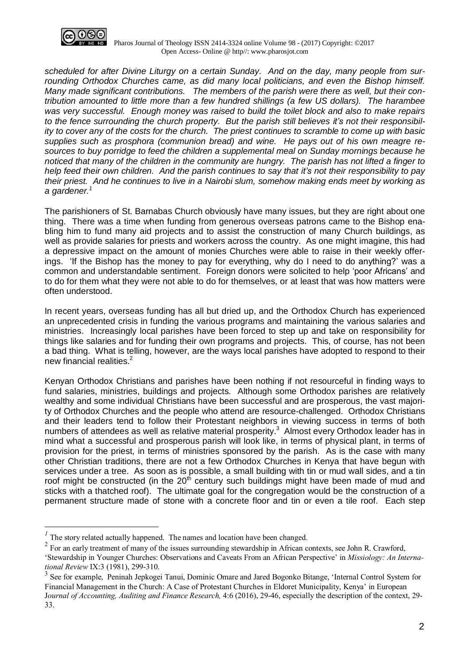

 Pharos Journal of Theology ISSN 2414-3324 online Volume 98 - (2017) Copyright: ©2017 Open Access- Online @ http//: www.pharosjot.com

*scheduled for after Divine Liturgy on a certain Sunday. And on the day, many people from surrounding Orthodox Churches came, as did many local politicians, and even the Bishop himself. Many made significant contributions. The members of the parish were there as well, but their contribution amounted to little more than a few hundred shillings (a few US dollars). The harambee was very successful. Enough money was raised to build the toilet block and also to make repairs to the fence surrounding the church property. But the parish still believes it's not their responsibil*ity to cover any of the costs for the church. The priest continues to scramble to come up with basic *supplies such as prosphora (communion bread) and wine. He pays out of his own meagre resources to buy porridge to feed the children a supplemental meal on Sunday mornings because he* noticed that many of the children in the community are hungry. The parish has not lifted a finger to *help feed their own children. And the parish continues to say that it's not their responsibility to pay their priest. And he continues to live in a Nairobi slum, somehow making ends meet by working as a gardener.<sup>1</sup>*

The parishioners of St. Barnabas Church obviously have many issues, but they are right about one thing. There was a time when funding from generous overseas patrons came to the Bishop enabling him to fund many aid projects and to assist the construction of many Church buildings, as well as provide salaries for priests and workers across the country. As one might imagine, this had a depressive impact on the amount of monies Churches were able to raise in their weekly offerings. 'If the Bishop has the money to pay for everything, why do I need to do anything?' was a common and understandable sentiment. Foreign donors were solicited to help 'poor Africans' and to do for them what they were not able to do for themselves, or at least that was how matters were often understood.

In recent years, overseas funding has all but dried up, and the Orthodox Church has experienced an unprecedented crisis in funding the various programs and maintaining the various salaries and ministries. Increasingly local parishes have been forced to step up and take on responsibility for things like salaries and for funding their own programs and projects. This, of course, has not been a bad thing. What is telling, however, are the ways local parishes have adopted to respond to their new financial realities.<sup>2</sup>

Kenyan Orthodox Christians and parishes have been nothing if not resourceful in finding ways to fund salaries, ministries, buildings and projects. Although some Orthodox parishes are relatively wealthy and some individual Christians have been successful and are prosperous, the vast majority of Orthodox Churches and the people who attend are resource-challenged. Orthodox Christians and their leaders tend to follow their Protestant neighbors in viewing success in terms of both numbers of attendees as well as relative material prosperity. $^3$  Almost every Orthodox leader has in mind what a successful and prosperous parish will look like, in terms of physical plant, in terms of provision for the priest, in terms of ministries sponsored by the parish. As is the case with many other Christian traditions, there are not a few Orthodox Churches in Kenya that have begun with services under a tree. As soon as is possible, a small building with tin or mud wall sides, and a tin roof might be constructed (in the  $20<sup>th</sup>$  century such buildings might have been made of mud and sticks with a thatched roof). The ultimate goal for the congregation would be the construction of a permanent structure made of stone with a concrete floor and tin or even a tile roof. Each step

 $\overline{a}$ 

<sup>&</sup>lt;sup>1</sup> The story related actually happened. The names and location have been changed.

 $2^2$  For an early treatment of many of the issues surrounding stewardship in African contexts, see John R. Crawford,

<sup>&#</sup>x27;Stewardship in Younger Churches: Observations and Caveats From an African Perspective' in *Missiology: An International Review* IX:3 (1981), 299-310.

<sup>&</sup>lt;sup>3</sup> See for example, Peninah Jepkogei Tanui, Dominic Omare and Jared Bogonko Bitange, 'Internal Control System for Financial Management in the Church: A Case of Protestant Churches in Eldoret Municipality, Kenya' in European J*ournal of Accounting, Auditing and Finance Research,* 4:6 (2016), 29-46, especially the description of the context, 29- 33.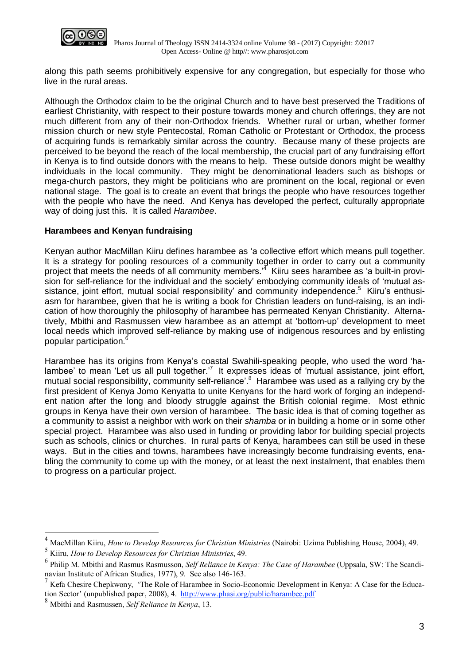

along this path seems prohibitively expensive for any congregation, but especially for those who live in the rural areas.

Although the Orthodox claim to be the original Church and to have best preserved the Traditions of earliest Christianity, with respect to their posture towards money and church offerings, they are not much different from any of their non-Orthodox friends. Whether rural or urban, whether former mission church or new style Pentecostal, Roman Catholic or Protestant or Orthodox, the process of acquiring funds is remarkably similar across the country. Because many of these projects are perceived to be beyond the reach of the local membership, the crucial part of any fundraising effort in Kenya is to find outside donors with the means to help. These outside donors might be wealthy individuals in the local community. They might be denominational leaders such as bishops or mega-church pastors, they might be politicians who are prominent on the local, regional or even national stage. The goal is to create an event that brings the people who have resources together with the people who have the need. And Kenya has developed the perfect, culturally appropriate way of doing just this. It is called *Harambee*.

## **Harambees and Kenyan fundraising**

Kenyan author MacMillan Kiiru defines harambee as 'a collective effort which means pull together. It is a strategy for pooling resources of a community together in order to carry out a community project that meets the needs of all community members.<sup>4</sup> Kiiru sees harambee as 'a built-in provision for self-reliance for the individual and the society' embodying community ideals of 'mutual assistance, joint effort, mutual social responsibility' and community independence.<sup>5</sup> Kiiru's enthusiasm for harambee, given that he is writing a book for Christian leaders on fund-raising, is an indication of how thoroughly the philosophy of harambee has permeated Kenyan Christianity. Alternatively, Mbithi and Rasmussen view harambee as an attempt at 'bottom-up' development to meet local needs which improved self-reliance by making use of indigenous resources and by enlisting popular participation.<sup>6</sup>

Harambee has its origins from Kenya's coastal Swahili-speaking people, who used the word 'halambee' to mean 'Let us all pull together.<sup>7</sup> It expresses ideas of 'mutual assistance, joint effort, mutual social responsibility, community self-reliance'.<sup>8</sup> Harambee was used as a rallying cry by the first president of Kenya Jomo Kenyatta to unite Kenyans for the hard work of forging an independent nation after the long and bloody struggle against the British colonial regime. Most ethnic groups in Kenya have their own version of harambee. The basic idea is that of coming together as a community to assist a neighbor with work on their *shamba* or in building a home or in some other special project. Harambee was also used in funding or providing labor for building special projects such as schools, clinics or churches. In rural parts of Kenya, harambees can still be used in these ways. But in the cities and towns, harambees have increasingly become fundraising events, enabling the community to come up with the money, or at least the next instalment, that enables them to progress on a particular project.

 $\overline{a}$ 

<sup>4</sup> MacMillan Kiiru, *How to Develop Resources for Christian Ministries* (Nairobi: Uzima Publishing House, 2004), 49.

<sup>5</sup> Kiiru, *How to Develop Resources for Christian Ministries*, 49.

<sup>6</sup> Philip M. Mbithi and Rasmus Rasmusson, *Self Reliance in Kenya: The Case of Harambee* (Uppsala, SW: The Scandinavian Institute of African Studies, 1977), 9. See also 146-163.

<sup>7</sup> Kefa Chesire Chepkwony, 'The Role of Harambee in Socio-Economic Development in Kenya: A Case for the Education Sector' (unpublished paper, 2008), 4. <http://www.phasi.org/public/harambee.pdf>

<sup>8</sup> Mbithi and Rasmussen, *Self Reliance in Kenya*, 13.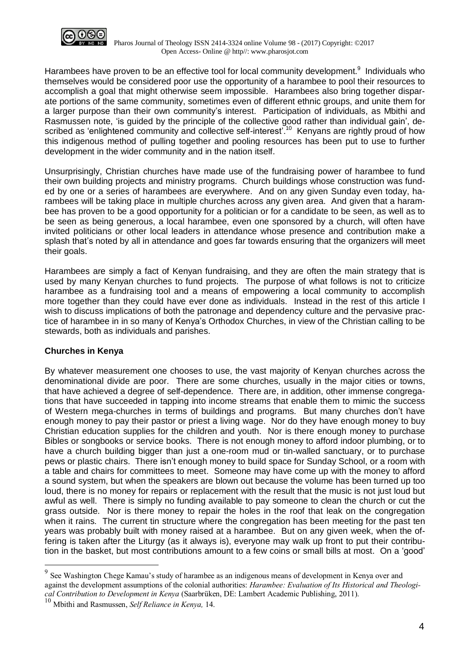

Harambees have proven to be an effective tool for local community development.<sup>9</sup> Individuals who themselves would be considered poor use the opportunity of a harambee to pool their resources to accomplish a goal that might otherwise seem impossible. Harambees also bring together disparate portions of the same community, sometimes even of different ethnic groups, and unite them for a larger purpose than their own community's interest. Participation of individuals, as Mbithi and Rasmussen note, 'is guided by the principle of the collective good rather than individual gain', described as 'enlightened community and collective self-interest'.<sup>10</sup> Kenyans are rightly proud of how this indigenous method of pulling together and pooling resources has been put to use to further development in the wider community and in the nation itself.

Unsurprisingly, Christian churches have made use of the fundraising power of harambee to fund their own building projects and ministry programs. Church buildings whose construction was funded by one or a series of harambees are everywhere. And on any given Sunday even today, harambees will be taking place in multiple churches across any given area. And given that a harambee has proven to be a good opportunity for a politician or for a candidate to be seen, as well as to be seen as being generous, a local harambee, even one sponsored by a church, will often have invited politicians or other local leaders in attendance whose presence and contribution make a splash that's noted by all in attendance and goes far towards ensuring that the organizers will meet their goals.

Harambees are simply a fact of Kenyan fundraising, and they are often the main strategy that is used by many Kenyan churches to fund projects. The purpose of what follows is not to criticize harambee as a fundraising tool and a means of empowering a local community to accomplish more together than they could have ever done as individuals. Instead in the rest of this article I wish to discuss implications of both the patronage and dependency culture and the pervasive practice of harambee in in so many of Kenya's Orthodox Churches, in view of the Christian calling to be stewards, both as individuals and parishes.

# **Churches in Kenya**

 $\overline{a}$ 

By whatever measurement one chooses to use, the vast majority of Kenyan churches across the denominational divide are poor. There are some churches, usually in the major cities or towns, that have achieved a degree of self-dependence. There are, in addition, other immense congregations that have succeeded in tapping into income streams that enable them to mimic the success of Western mega-churches in terms of buildings and programs. But many churches don't have enough money to pay their pastor or priest a living wage. Nor do they have enough money to buy Christian education supplies for the children and youth. Nor is there enough money to purchase Bibles or songbooks or service books. There is not enough money to afford indoor plumbing, or to have a church building bigger than just a one-room mud or tin-walled sanctuary, or to purchase pews or plastic chairs. There isn't enough money to build space for Sunday School, or a room with a table and chairs for committees to meet. Someone may have come up with the money to afford a sound system, but when the speakers are blown out because the volume has been turned up too loud, there is no money for repairs or replacement with the result that the music is not just loud but awful as well. There is simply no funding available to pay someone to clean the church or cut the grass outside. Nor is there money to repair the holes in the roof that leak on the congregation when it rains. The current tin structure where the congregation has been meeting for the past ten years was probably built with money raised at a harambee. But on any given week, when the offering is taken after the Liturgy (as it always is), everyone may walk up front to put their contribution in the basket, but most contributions amount to a few coins or small bills at most. On a 'good'

 $9^9$  See Washington Chege Kamau's study of harambee as an indigenous means of development in Kenya over and against the development assumptions of the colonial authorities: *Harambee: Evaluation of Its Historical and Theological Contribution to Development in Kenya* (Saarbrüken, DE: Lambert Academic Publishing, 2011).

<sup>10</sup> Mbithi and Rasmussen, *Self Reliance in Kenya,* 14.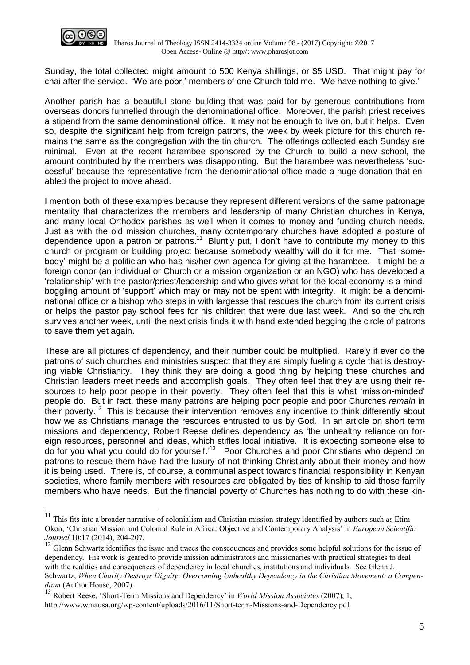

 $\overline{a}$ 

Sunday, the total collected might amount to 500 Kenya shillings, or \$5 USD. That might pay for chai after the service. 'We are poor,' members of one Church told me. 'We have nothing to give.'

Another parish has a beautiful stone building that was paid for by generous contributions from overseas donors funnelled through the denominational office. Moreover, the parish priest receives a stipend from the same denominational office. It may not be enough to live on, but it helps. Even so, despite the significant help from foreign patrons, the week by week picture for this church remains the same as the congregation with the tin church. The offerings collected each Sunday are minimal. Even at the recent harambee sponsored by the Church to build a new school, the amount contributed by the members was disappointing. But the harambee was nevertheless 'successful' because the representative from the denominational office made a huge donation that enabled the project to move ahead.

I mention both of these examples because they represent different versions of the same patronage mentality that characterizes the members and leadership of many Christian churches in Kenya, and many local Orthodox parishes as well when it comes to money and funding church needs. Just as with the old mission churches, many contemporary churches have adopted a posture of dependence upon a patron or patrons.<sup>11</sup> Bluntly put, I don't have to contribute my money to this church or program or building project because somebody wealthy will do it for me. That 'somebody' might be a politician who has his/her own agenda for giving at the harambee. It might be a foreign donor (an individual or Church or a mission organization or an NGO) who has developed a 'relationship' with the pastor/priest/leadership and who gives what for the local economy is a mindboggling amount of 'support' which may or may not be spent with integrity. It might be a denominational office or a bishop who steps in with largesse that rescues the church from its current crisis or helps the pastor pay school fees for his children that were due last week. And so the church survives another week, until the next crisis finds it with hand extended begging the circle of patrons to save them yet again.

These are all pictures of dependency, and their number could be multiplied. Rarely if ever do the patrons of such churches and ministries suspect that they are simply fueling a cycle that is destroying viable Christianity. They think they are doing a good thing by helping these churches and Christian leaders meet needs and accomplish goals. They often feel that they are using their resources to help poor people in their poverty. They often feel that this is what 'mission-minded' people do. But in fact, these many patrons are helping poor people and poor Churches *remain* in their poverty.<sup>12</sup> This is because their intervention removes any incentive to think differently about how we as Christians manage the resources entrusted to us by God. In an article on short term missions and dependency, Robert Reese defines dependency as 'the unhealthy reliance on foreign resources, personnel and ideas, which stifles local initiative. It is expecting someone else to do for you what you could do for yourself.<sup>13</sup> Poor Churches and poor Christians who depend on patrons to rescue them have had the luxury of not thinking Christianly about their money and how it is being used. There is, of course, a communal aspect towards financial responsibility in Kenyan societies, where family members with resources are obligated by ties of kinship to aid those family members who have needs. But the financial poverty of Churches has nothing to do with these kin-

 $11$  This fits into a broader narrative of colonialism and Christian mission strategy identified by authors such as Etim Okon, 'Christian Mission and Colonial Rule in Africa: Objective and Contemporary Analysis' in *European Scientific Journal* 10:17 (2014), 204-207.

 $12$  Glenn Schwartz identifies the issue and traces the consequences and provides some helpful solutions for the issue of dependency. His work is geared to provide mission administrators and missionaries with practical strategies to deal with the realities and consequences of dependency in local churches, institutions and individuals. See Glenn J. Schwartz, *When Charity Destroys Dignity: Overcoming Unhealthy Dependency in the Christian Movement: a Compendium* (Author House, 2007).

<sup>13</sup> Robert Reese, 'Short-Term Missions and Dependency' in *World Mission Associates* (2007), 1, <http://www.wmausa.org/wp-content/uploads/2016/11/Short-term-Missions-and-Dependency.pdf>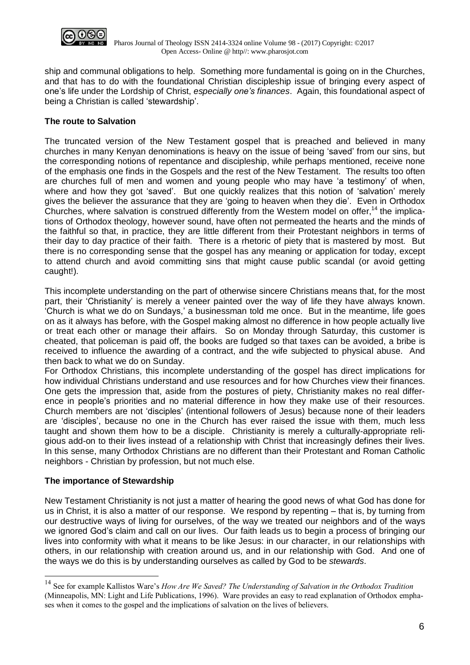

ship and communal obligations to help. Something more fundamental is going on in the Churches, and that has to do with the foundational Christian discipleship issue of bringing every aspect of one's life under the Lordship of Christ, *especially one's finances*. Again, this foundational aspect of being a Christian is called 'stewardship'.

# **The route to Salvation**

The truncated version of the New Testament gospel that is preached and believed in many churches in many Kenyan denominations is heavy on the issue of being 'saved' from our sins, but the corresponding notions of repentance and discipleship, while perhaps mentioned, receive none of the emphasis one finds in the Gospels and the rest of the New Testament. The results too often are churches full of men and women and young people who may have 'a testimony' of when, where and how they got 'saved'. But one quickly realizes that this notion of 'salvation' merely gives the believer the assurance that they are 'going to heaven when they die'. Even in Orthodox Churches, where salvation is construed differently from the Western model on offer,<sup>14</sup> the implications of Orthodox theology, however sound, have often not permeated the hearts and the minds of the faithful so that, in practice, they are little different from their Protestant neighbors in terms of their day to day practice of their faith. There is a rhetoric of piety that is mastered by most. But there is no corresponding sense that the gospel has any meaning or application for today, except to attend church and avoid committing sins that might cause public scandal (or avoid getting caught!).

This incomplete understanding on the part of otherwise sincere Christians means that, for the most part, their 'Christianity' is merely a veneer painted over the way of life they have always known. 'Church is what we do on Sundays,' a businessman told me once. But in the meantime, life goes on as it always has before, with the Gospel making almost no difference in how people actually live or treat each other or manage their affairs. So on Monday through Saturday, this customer is cheated, that policeman is paid off, the books are fudged so that taxes can be avoided, a bribe is received to influence the awarding of a contract, and the wife subjected to physical abuse. And then back to what we do on Sunday.

For Orthodox Christians, this incomplete understanding of the gospel has direct implications for how individual Christians understand and use resources and for how Churches view their finances. One gets the impression that, aside from the postures of piety, Christianity makes no real difference in people's priorities and no material difference in how they make use of their resources. Church members are not 'disciples' (intentional followers of Jesus) because none of their leaders are 'disciples', because no one in the Church has ever raised the issue with them, much less taught and shown them how to be a disciple. Christianity is merely a culturally-appropriate religious add-on to their lives instead of a relationship with Christ that increasingly defines their lives. In this sense, many Orthodox Christians are no different than their Protestant and Roman Catholic neighbors - Christian by profession, but not much else.

## **The importance of Stewardship**

 $\overline{a}$ 

New Testament Christianity is not just a matter of hearing the good news of what God has done for us in Christ, it is also a matter of our response. We respond by repenting – that is, by turning from our destructive ways of living for ourselves, of the way we treated our neighbors and of the ways we ignored God's claim and call on our lives. Our faith leads us to begin a process of bringing our lives into conformity with what it means to be like Jesus: in our character, in our relationships with others, in our relationship with creation around us, and in our relationship with God. And one of the ways we do this is by understanding ourselves as called by God to be *stewards*.

<sup>14</sup> See for example Kallistos Ware's *How Are We Saved? The Understanding of Salvation in the Orthodox Tradition* (Minneapolis, MN: Light and Life Publications, 1996). Ware provides an easy to read explanation of Orthodox emphases when it comes to the gospel and the implications of salvation on the lives of believers.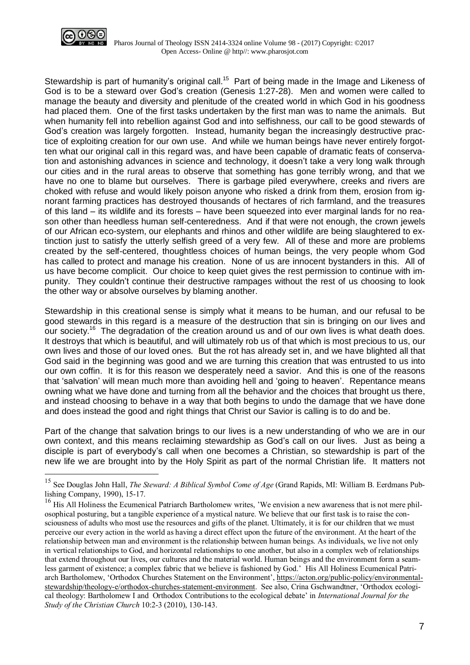

 $\overline{a}$ 

Stewardship is part of humanity's original call.<sup>15</sup> Part of being made in the Image and Likeness of God is to be a steward over God's creation (Genesis 1:27-28). Men and women were called to manage the beauty and diversity and plenitude of the created world in which God in his goodness had placed them. One of the first tasks undertaken by the first man was to name the animals. But when humanity fell into rebellion against God and into selfishness, our call to be good stewards of God's creation was largely forgotten. Instead, humanity began the increasingly destructive practice of exploiting creation for our own use. And while we human beings have never entirely forgotten what our original call in this regard was, and have been capable of dramatic feats of conservation and astonishing advances in science and technology, it doesn't take a very long walk through our cities and in the rural areas to observe that something has gone terribly wrong, and that we have no one to blame but ourselves. There is garbage piled everywhere, creeks and rivers are choked with refuse and would likely poison anyone who risked a drink from them, erosion from ignorant farming practices has destroyed thousands of hectares of rich farmland, and the treasures of this land – its wildlife and its forests – have been squeezed into ever marginal lands for no reason other than heedless human self-centeredness. And if that were not enough, the crown jewels of our African eco-system, our elephants and rhinos and other wildlife are being slaughtered to extinction just to satisfy the utterly selfish greed of a very few. All of these and more are problems created by the self-centered, thoughtless choices of human beings, the very people whom God has called to protect and manage his creation. None of us are innocent bystanders in this. All of us have become complicit. Our choice to keep quiet gives the rest permission to continue with impunity. They couldn't continue their destructive rampages without the rest of us choosing to look the other way or absolve ourselves by blaming another.

Stewardship in this creational sense is simply what it means to be human, and our refusal to be good stewards in this regard is a measure of the destruction that sin is bringing on our lives and our society.<sup>16</sup> The degradation of the creation around us and of our own lives is what death does. It destroys that which is beautiful, and will ultimately rob us of that which is most precious to us, our own lives and those of our loved ones. But the rot has already set in, and we have blighted all that God said in the beginning was good and we are turning this creation that was entrusted to us into our own coffin. It is for this reason we desperately need a savior. And this is one of the reasons that 'salvation' will mean much more than avoiding hell and 'going to heaven'. Repentance means owning what we have done and turning from all the behavior and the choices that brought us there, and instead choosing to behave in a way that both begins to undo the damage that we have done and does instead the good and right things that Christ our Savior is calling is to do and be.

Part of the change that salvation brings to our lives is a new understanding of who we are in our own context, and this means reclaiming stewardship as God's call on our lives. Just as being a disciple is part of everybody's call when one becomes a Christian, so stewardship is part of the new life we are brought into by the Holy Spirit as part of the normal Christian life. It matters not

<sup>15</sup> See Douglas John Hall, *The Steward: A Biblical Symbol Come of Age* (Grand Rapids, MI: William B. Eerdmans Publishing Company, 1990), 15-17.

<sup>&</sup>lt;sup>16</sup> His All Holiness the Ecumenical Patriarch Bartholomew writes, 'We envision a new awareness that is not mere philosophical posturing, but a tangible experience of a mystical nature. We believe that our first task is to raise the consciousness of adults who most use the resources and gifts of the planet. Ultimately, it is for our children that we must perceive our every action in the world as having a direct effect upon the future of the environment. At the heart of the relationship between man and environment is the relationship between human beings. As individuals, we live not only in vertical relationships to God, and horizontal relationships to one another, but also in a complex web of relationships that extend throughout our lives, our cultures and the material world. Human beings and the environment form a seamless garment of existence; a complex fabric that we believe is fashioned by God.' His All Holiness Ecumenical Patriarch Bartholomew, 'Orthodox Churches Statement on the Environment', [https://acton.org/public-policy/environmental](https://acton.org/public-policy/environmental-stewardship/theology-e/orthodox-churches-statement-environment)[stewardship/theology-e/orthodox-churches-statement-environment.](https://acton.org/public-policy/environmental-stewardship/theology-e/orthodox-churches-statement-environment) See also, Crina Gschwandtner, 'Orthodox ecological theology: Bartholomew I and Orthodox Contributions to the ecological debate' in *International Journal for the Study of the Christian Church* 10:2-3 (2010), 130-143.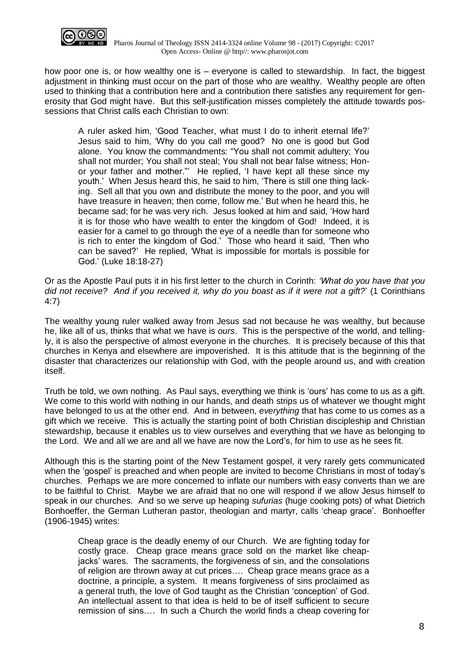

how poor one is, or how wealthy one is – everyone is called to stewardship. In fact, the biggest adjustment in thinking must occur on the part of those who are wealthy. Wealthy people are often used to thinking that a contribution here and a contribution there satisfies any requirement for generosity that God might have. But this self-justification misses completely the attitude towards possessions that Christ calls each Christian to own:

A ruler asked him, 'Good Teacher, what must I do to inherit eternal life?' Jesus said to him, 'Why do you call me good? No one is good but God alone. You know the commandments: "You shall not commit adultery; You shall not murder; You shall not steal; You shall not bear false witness; Honor your father and mother."' He replied, 'I have kept all these since my youth.' When Jesus heard this, he said to him, 'There is still one thing lacking. Sell all that you own and distribute the money to the poor, and you will have treasure in heaven; then come, follow me.' But when he heard this, he became sad; for he was very rich. Jesus looked at him and said, 'How hard it is for those who have wealth to enter the kingdom of God! Indeed, it is easier for a camel to go through the eye of a needle than for someone who is rich to enter the kingdom of God.' Those who heard it said, 'Then who can be saved?' He replied, 'What is impossible for mortals is possible for God.' (Luke 18:18-27)

Or as the Apostle Paul puts it in his first letter to the church in Corinth: *'What do you have that you* did not receive? And if you received it, why do you boast as if it were not a gift?' (1 Corinthians 4:7)

The wealthy young ruler walked away from Jesus sad not because he was wealthy, but because he, like all of us, thinks that what we have is *ours*. This is the perspective of the world, and tellingly, it is also the perspective of almost everyone in the churches. It is precisely because of this that churches in Kenya and elsewhere are impoverished. It is this attitude that is the beginning of the disaster that characterizes our relationship with God, with the people around us, and with creation itself.

Truth be told, we own nothing. As Paul says, everything we think is 'ours' has come to us as a gift. We come to this world with nothing in our hands, and death strips us of whatever we thought might have belonged to us at the other end. And in between, *everything* that has come to us comes as a gift which we receive. This is actually the starting point of both Christian discipleship and Christian stewardship, because it enables us to view ourselves and everything that we have as belonging to the Lord. We and all we are and all we have are now the Lord's, for him to use as he sees fit.

Although this is the starting point of the New Testament gospel, it very rarely gets communicated when the 'gospel' is preached and when people are invited to become Christians in most of today's churches. Perhaps we are more concerned to inflate our numbers with easy converts than we are to be faithful to Christ. Maybe we are afraid that no one will respond if we allow Jesus himself to speak in our churches. And so we serve up heaping *sufurias* (huge cooking pots) of what Dietrich Bonhoeffer, the German Lutheran pastor, theologian and martyr, calls 'cheap grace'. Bonhoeffer (1906-1945) writes:

 Cheap grace is the deadly enemy of our Church. We are fighting today for costly grace. Cheap grace means grace sold on the market like cheapjacks' wares. The sacraments, the forgiveness of sin, and the consolations of religion are thrown away at cut prices…. Cheap grace means grace as a doctrine, a principle, a system. It means forgiveness of sins proclaimed as a general truth, the love of God taught as the Christian 'conception' of God. An intellectual assent to that idea is held to be of itself sufficient to secure remission of sins…. In such a Church the world finds a cheap covering for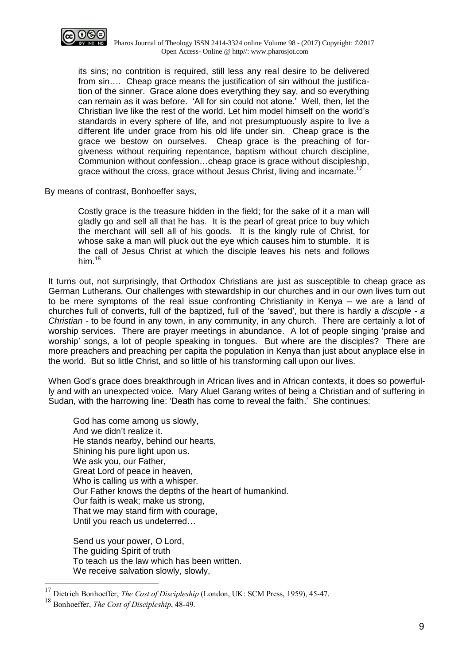

 Pharos Journal of Theology ISSN 2414-3324 online Volume 98 - (2017) Copyright: ©2017 Open Access- Online @ http//: www.pharosjot.com

its sins; no contrition is required, still less any real desire to be delivered from sin…. Cheap grace means the justification of sin without the justification of the sinner. Grace alone does everything they say, and so everything can remain as it was before. 'All for sin could not atone.' Well, then, let the Christian live like the rest of the world. Let him model himself on the world's standards in every sphere of life, and not presumptuously aspire to live a different life under grace from his old life under sin. Cheap grace is the grace we bestow on ourselves. Cheap grace is the preaching of forgiveness without requiring repentance, baptism without church discipline, Communion without confession…cheap grace is grace without discipleship, grace without the cross, grace without Jesus Christ, living and incarnate.<sup>17</sup>

By means of contrast, Bonhoeffer says,

 Costly grace is the treasure hidden in the field; for the sake of it a man will gladly go and sell all that he has. It is the pearl of great price to buy which the merchant will sell all of his goods. It is the kingly rule of Christ, for whose sake a man will pluck out the eye which causes him to stumble. It is the call of Jesus Christ at which the disciple leaves his nets and follows him $18$ 

It turns out, not surprisingly, that Orthodox Christians are just as susceptible to cheap grace as German Lutherans. Our challenges with stewardship in our churches and in our own lives turn out to be mere symptoms of the real issue confronting Christianity in Kenya – we are a land of churches full of converts, full of the baptized, full of the 'saved', but there is hardly a *disciple - a Christian -* to be found in any town, in any community, in any church. There are certainly a lot of worship services. There are prayer meetings in abundance. A lot of people singing 'praise and worship' songs, a lot of people speaking in tongues. But where are the disciples? There are more preachers and preaching per capita the population in Kenya than just about anyplace else in the world. But so little Christ, and so little of his transforming call upon our lives.

When God's grace does breakthrough in African lives and in African contexts, it does so powerfully and with an unexpected voice. Mary Aluel Garang writes of being a Christian and of suffering in Sudan, with the harrowing line: 'Death has come to reveal the faith.' She continues:

God has come among us slowly, And we didn't realize it. He stands nearby, behind our hearts, Shining his pure light upon us. We ask you, our Father, Great Lord of peace in heaven, Who is calling us with a whisper. Our Father knows the depths of the heart of humankind. Our faith is weak; make us strong, That we may stand firm with courage, Until you reach us undeterred…

Send us your power, O Lord, The guiding Spirit of truth To teach us the law which has been written. We receive salvation slowly, slowly,

 $\overline{a}$ 

<sup>17</sup> Dietrich Bonhoeffer, *The Cost of Discipleship* (London, UK: SCM Press, 1959), 45-47.

<sup>18</sup> Bonhoeffer, *The Cost of Discipleship*, 48-49.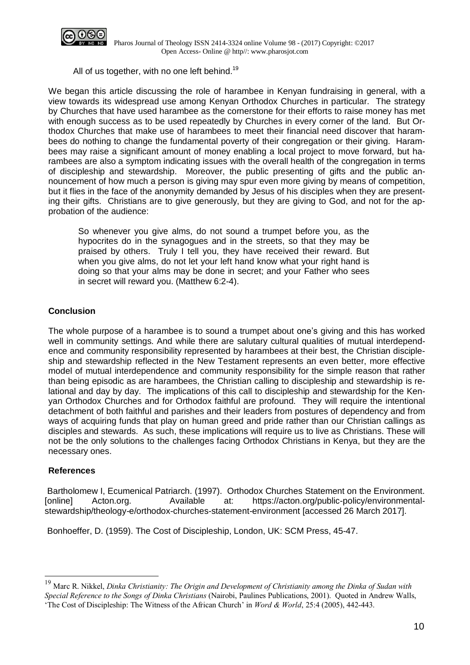

All of us together, with no one left behind.<sup>19</sup>

We began this article discussing the role of harambee in Kenyan fundraising in general, with a view towards its widespread use among Kenyan Orthodox Churches in particular. The strategy by Churches that have used harambee as the cornerstone for their efforts to raise money has met with enough success as to be used repeatedly by Churches in every corner of the land. But Orthodox Churches that make use of harambees to meet their financial need discover that harambees do nothing to change the fundamental poverty of their congregation or their giving. Harambees may raise a significant amount of money enabling a local project to move forward, but harambees are also a symptom indicating issues with the overall health of the congregation in terms of discipleship and stewardship. Moreover, the public presenting of gifts and the public announcement of how much a person is giving may spur even more giving by means of competition, but it flies in the face of the anonymity demanded by Jesus of his disciples when they are presenting their gifts. Christians are to give generously, but they are giving to God, and not for the approbation of the audience:

So whenever you give alms, do not sound a trumpet before you, as the hypocrites do in the synagogues and in the streets, so that they may be praised by others. Truly I tell you, they have received their reward. But when you give alms, do not let your left hand know what your right hand is doing so that your alms may be done in secret; and your Father who sees in secret will reward you. (Matthew 6:2-4).

# **Conclusion**

The whole purpose of a harambee is to sound a trumpet about one's giving and this has worked well in community settings. And while there are salutary cultural qualities of mutual interdependence and community responsibility represented by harambees at their best, the Christian discipleship and stewardship reflected in the New Testament represents an even better, more effective model of mutual interdependence and community responsibility for the simple reason that rather than being episodic as are harambees, the Christian calling to discipleship and stewardship is relational and day by day. The implications of this call to discipleship and stewardship for the Kenyan Orthodox Churches and for Orthodox faithful are profound. They will require the intentional detachment of both faithful and parishes and their leaders from postures of dependency and from ways of acquiring funds that play on human greed and pride rather than our Christian callings as disciples and stewards. As such, these implications will require us to live as Christians. These will not be the only solutions to the challenges facing Orthodox Christians in Kenya, but they are the necessary ones.

## **References**

 $\overline{a}$ 

Bartholomew I, Ecumenical Patriarch. (1997). Orthodox Churches Statement on the Environment. [online] Acton.org. Available at: https://acton.org/public-policy/environmentalstewardship/theology-e/orthodox-churches-statement-environment [accessed 26 March 2017].

Bonhoeffer, D. (1959). The Cost of Discipleship, London, UK: SCM Press, 45-47.

<sup>19</sup> Marc R. Nikkel, *Dinka Christianity: The Origin and Development of Christianity among the Dinka of Sudan with Special Reference to the Songs of Dinka Christians* (Nairobi, Paulines Publications, 2001). Quoted in Andrew Walls, 'The Cost of Discipleship: The Witness of the African Church' in *Word & World*, 25:4 (2005), 442-443.